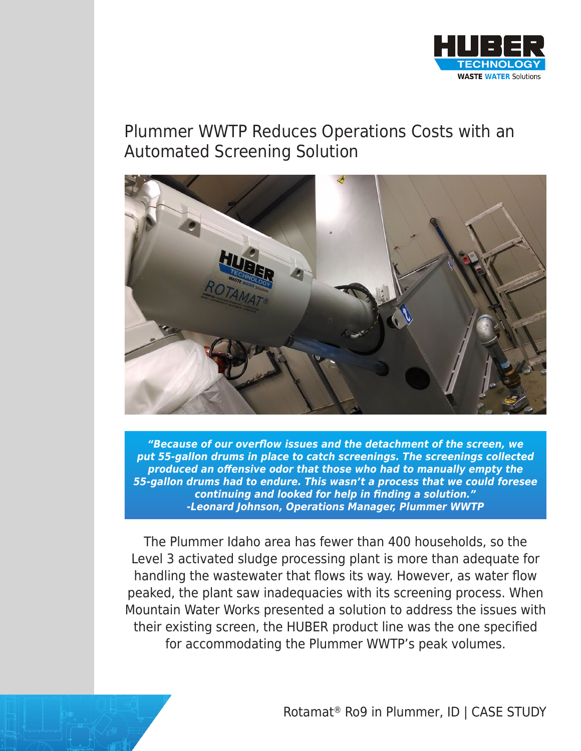

## Plummer WWTP Reduces Operations Costs with an Automated Screening Solution



**"Because of our overflow issues and the detachment of the screen, we put 55-gallon drums in place to catch screenings. The screenings collected produced an offensive odor that those who had to manually empty the 55-gallon drums had to endure. This wasn't a process that we could foresee continuing and looked for help in finding a solution." -Leonard Johnson, Operations Manager, Plummer WWTP**

The Plummer Idaho area has fewer than 400 households, so the Level 3 activated sludge processing plant is more than adequate for handling the wastewater that flows its way. However, as water flow peaked, the plant saw inadequacies with its screening process. When Mountain Water Works presented a solution to address the issues with their existing screen, the HUBER product line was the one specified for accommodating the Plummer WWTP's peak volumes.